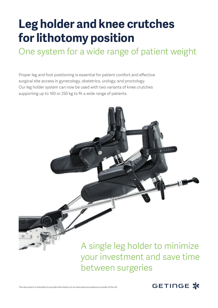## **Leg holder and knee crutches for lithotomy position**

One system for a wide range of patient weight

Proper leg and foot positioning is essential for patient comfort and effective surgical site access in gynecology, obstetrics, urology, and proctology. Our leg holder system can now be used with two variants of knee crutches supporting up to 160 or 250 kg to fit a wide range of patients.